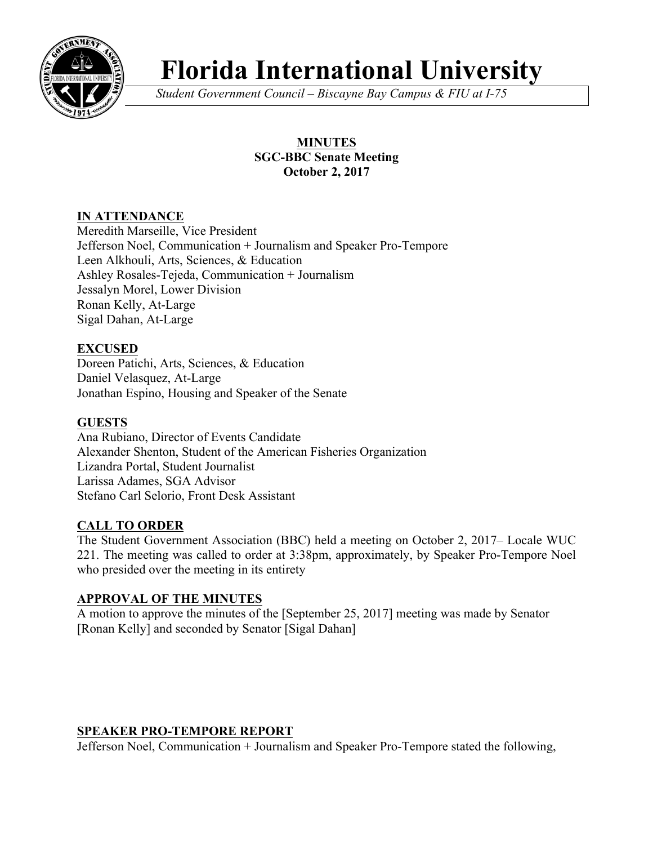

# **Florida International University**

*Student Government Council – Biscayne Bay Campus & FIU at I-75*

# **MINUTES SGC-BBC Senate Meeting October 2, 2017**

# **IN ATTENDANCE**

Meredith Marseille, Vice President Jefferson Noel, Communication + Journalism and Speaker Pro-Tempore Leen Alkhouli, Arts, Sciences, & Education Ashley Rosales-Tejeda, Communication + Journalism Jessalyn Morel, Lower Division Ronan Kelly, At-Large Sigal Dahan, At-Large

# **EXCUSED**

Doreen Patichi, Arts, Sciences, & Education Daniel Velasquez, At-Large Jonathan Espino, Housing and Speaker of the Senate

## **GUESTS**

Ana Rubiano, Director of Events Candidate Alexander Shenton, Student of the American Fisheries Organization Lizandra Portal, Student Journalist Larissa Adames, SGA Advisor Stefano Carl Selorio, Front Desk Assistant

# **CALL TO ORDER**

The Student Government Association (BBC) held a meeting on October 2, 2017– Locale WUC 221. The meeting was called to order at 3:38pm, approximately, by Speaker Pro-Tempore Noel who presided over the meeting in its entirety

## **APPROVAL OF THE MINUTES**

A motion to approve the minutes of the [September 25, 2017] meeting was made by Senator [Ronan Kelly] and seconded by Senator [Sigal Dahan]

# **SPEAKER PRO-TEMPORE REPORT**

Jefferson Noel, Communication + Journalism and Speaker Pro-Tempore stated the following,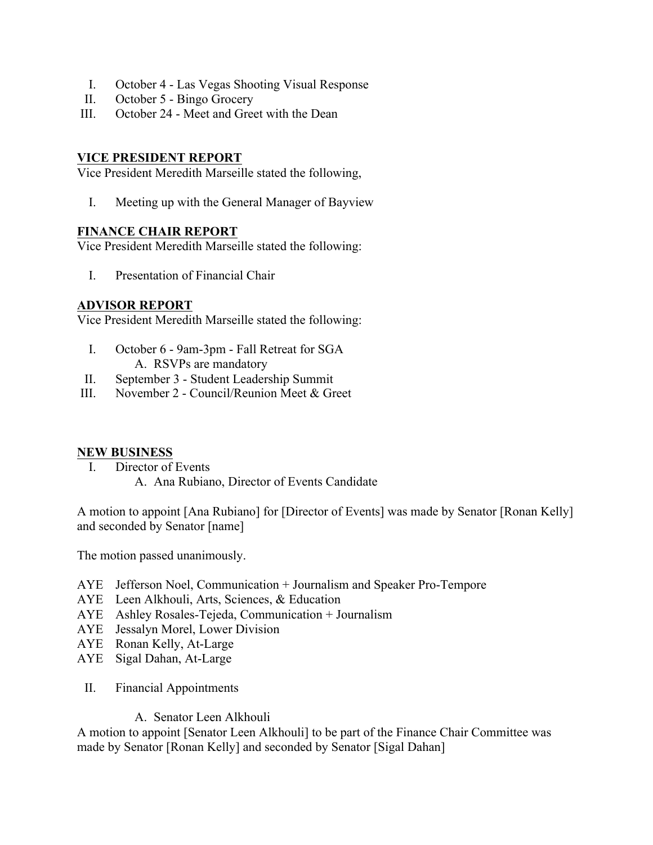- I. October 4 Las Vegas Shooting Visual Response
- II. October 5 Bingo Grocery
- III. October 24 Meet and Greet with the Dean

#### **VICE PRESIDENT REPORT**

Vice President Meredith Marseille stated the following,

I. Meeting up with the General Manager of Bayview

#### **FINANCE CHAIR REPORT**

Vice President Meredith Marseille stated the following:

I. Presentation of Financial Chair

#### **ADVISOR REPORT**

Vice President Meredith Marseille stated the following:

- I. October 6 9am-3pm Fall Retreat for SGA A. RSVPs are mandatory
- II. September 3 Student Leadership Summit
- III. November 2 Council/Reunion Meet & Greet

#### **NEW BUSINESS**

I. Director of Events A. Ana Rubiano, Director of Events Candidate

A motion to appoint [Ana Rubiano] for [Director of Events] was made by Senator [Ronan Kelly] and seconded by Senator [name]

The motion passed unanimously.

- AYE Jefferson Noel, Communication + Journalism and Speaker Pro-Tempore
- AYE Leen Alkhouli, Arts, Sciences, & Education
- AYE Ashley Rosales-Tejeda, Communication + Journalism
- AYE Jessalyn Morel, Lower Division
- AYE Ronan Kelly, At-Large
- AYE Sigal Dahan, At-Large
- II. Financial Appointments

#### A. Senator Leen Alkhouli

A motion to appoint [Senator Leen Alkhouli] to be part of the Finance Chair Committee was made by Senator [Ronan Kelly] and seconded by Senator [Sigal Dahan]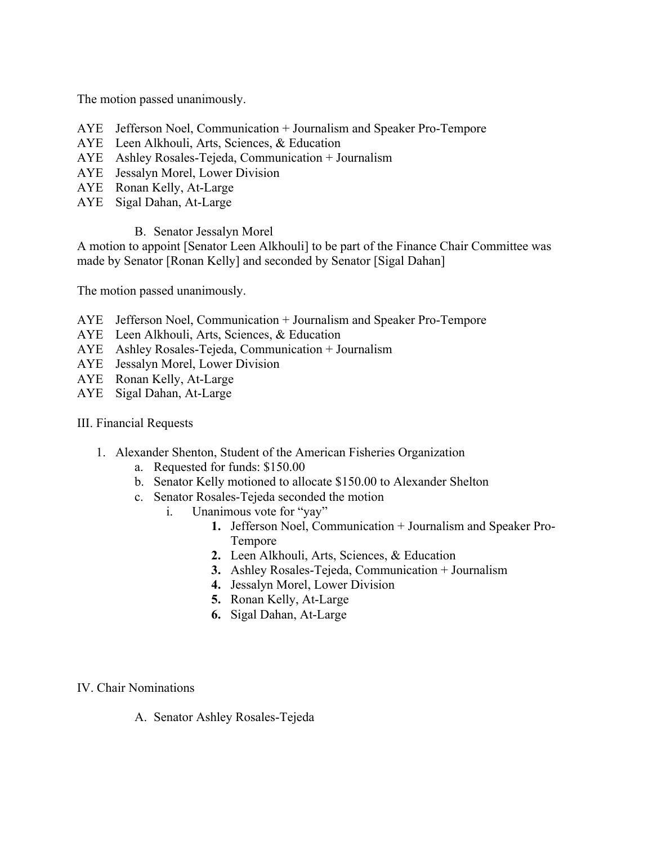The motion passed unanimously.

- AYE Jefferson Noel, Communication + Journalism and Speaker Pro-Tempore
- AYE Leen Alkhouli, Arts, Sciences, & Education
- AYE Ashley Rosales-Tejeda, Communication + Journalism
- AYE Jessalyn Morel, Lower Division
- AYE Ronan Kelly, At-Large
- AYE Sigal Dahan, At-Large
	- B. Senator Jessalyn Morel

A motion to appoint [Senator Leen Alkhouli] to be part of the Finance Chair Committee was made by Senator [Ronan Kelly] and seconded by Senator [Sigal Dahan]

The motion passed unanimously.

- AYE Jefferson Noel, Communication + Journalism and Speaker Pro-Tempore
- AYE Leen Alkhouli, Arts, Sciences, & Education
- AYE Ashley Rosales-Tejeda, Communication + Journalism
- AYE Jessalyn Morel, Lower Division
- AYE Ronan Kelly, At-Large
- AYE Sigal Dahan, At-Large
- III. Financial Requests
	- 1. Alexander Shenton, Student of the American Fisheries Organization
		- a. Requested for funds: \$150.00
		- b. Senator Kelly motioned to allocate \$150.00 to Alexander Shelton
		- c. Senator Rosales-Tejeda seconded the motion
			- i. Unanimous vote for "yay"
				- **1.** Jefferson Noel, Communication + Journalism and Speaker Pro-Tempore
				- **2.** Leen Alkhouli, Arts, Sciences, & Education
				- **3.** Ashley Rosales-Tejeda, Communication + Journalism
				- **4.** Jessalyn Morel, Lower Division
				- **5.** Ronan Kelly, At-Large
				- **6.** Sigal Dahan, At-Large

IV. Chair Nominations

A. Senator Ashley Rosales-Tejeda